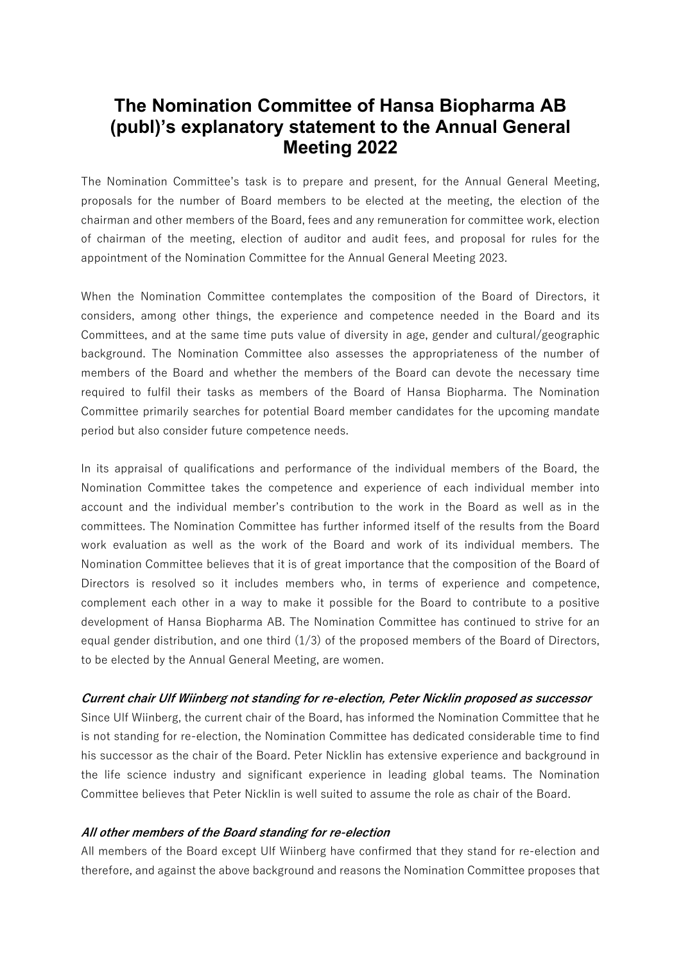# **The Nomination Committee of Hansa Biopharma AB (publ)'s explanatory statement to the Annual General Meeting 2022**

The Nomination Committee's task is to prepare and present, for the Annual General Meeting, proposals for the number of Board members to be elected at the meeting, the election of the chairman and other members of the Board, fees and any remuneration for committee work, election of chairman of the meeting, election of auditor and audit fees, and proposal for rules for the appointment of the Nomination Committee for the Annual General Meeting 2023.

When the Nomination Committee contemplates the composition of the Board of Directors, it considers, among other things, the experience and competence needed in the Board and its Committees, and at the same time puts value of diversity in age, gender and cultural/geographic background. The Nomination Committee also assesses the appropriateness of the number of members of the Board and whether the members of the Board can devote the necessary time required to fulfil their tasks as members of the Board of Hansa Biopharma. The Nomination Committee primarily searches for potential Board member candidates for the upcoming mandate period but also consider future competence needs.

In its appraisal of qualifications and performance of the individual members of the Board, the Nomination Committee takes the competence and experience of each individual member into account and the individual member's contribution to the work in the Board as well as in the committees. The Nomination Committee has further informed itself of the results from the Board work evaluation as well as the work of the Board and work of its individual members. The Nomination Committee believes that it is of great importance that the composition of the Board of Directors is resolved so it includes members who, in terms of experience and competence, complement each other in a way to make it possible for the Board to contribute to a positive development of Hansa Biopharma AB. The Nomination Committee has continued to strive for an equal gender distribution, and one third  $(1/3)$  of the proposed members of the Board of Directors, to be elected by the Annual General Meeting, are women.

## *Current chair Ulf Wiinberg not standing for re-election, Peter Nicklin proposed as successor*

Since Ulf Wiinberg, the current chair of the Board, has informed the Nomination Committee that he is not standing for re-election, the Nomination Committee has dedicated considerable time to find his successor as the chair of the Board. Peter Nicklin has extensive experience and background in the life science industry and significant experience in leading global teams. The Nomination Committee believes that Peter Nicklin is well suited to assume the role as chair of the Board.

#### *All other members of the Board standing for re-election*

All members of the Board except Ulf Wiinberg have confirmed that they stand for re-election and therefore, and against the above background and reasons the Nomination Committee proposes that